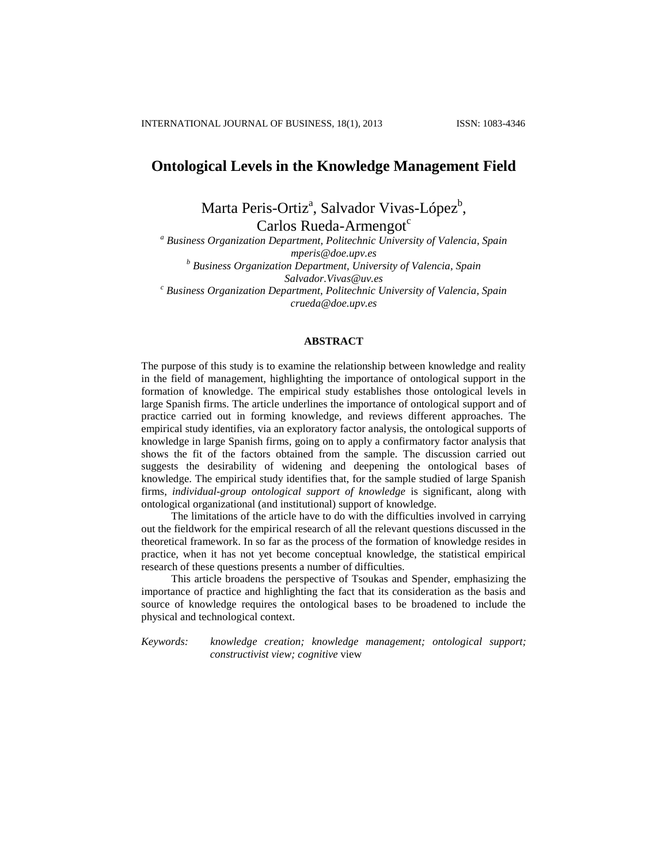# **Ontological Levels in the Knowledge Management Field**

Marta Peris-Ortiz<sup>a</sup>, Salvador Vivas-López<sup>b</sup>, Carlos Rueda-Armengot<sup>c</sup>

*<sup>a</sup> Business Organization Department, Politechnic University of Valencia, Spain [mperis@doe.upv.es](mailto:mperis@doe.upv.es) <sup>b</sup> Business Organization Department, University of Valencia, Spain [Salvador.Vivas@uv.es](mailto:Salvador.Vivas@uv.es)*

*<sup>c</sup> Business Organization Department, Politechnic University of Valencia, Spain [crueda@doe.upv.es](mailto:crueda@doe.upv.es)*

# **ABSTRACT**

The purpose of this study is to examine the relationship between knowledge and reality in the field of management, highlighting the importance of ontological support in the formation of knowledge. The empirical study establishes those ontological levels in large Spanish firms. The article underlines the importance of ontological support and of practice carried out in forming knowledge, and reviews different approaches. The empirical study identifies, via an exploratory factor analysis, the ontological supports of knowledge in large Spanish firms, going on to apply a confirmatory factor analysis that shows the fit of the factors obtained from the sample. The discussion carried out suggests the desirability of widening and deepening the ontological bases of knowledge. The empirical study identifies that, for the sample studied of large Spanish firms, *individual-group ontological support of knowledge* is significant, along with ontological organizational (and institutional) support of knowledge.

The limitations of the article have to do with the difficulties involved in carrying out the fieldwork for the empirical research of all the relevant questions discussed in the theoretical framework. In so far as the process of the formation of knowledge resides in practice, when it has not yet become conceptual knowledge, the statistical empirical research of these questions presents a number of difficulties.

This article broadens the perspective of Tsoukas and Spender, emphasizing the importance of practice and highlighting the fact that its consideration as the basis and source of knowledge requires the ontological bases to be broadened to include the physical and technological context.

*Keywords: knowledge creation; knowledge management; ontological support; constructivist view; cognitive* view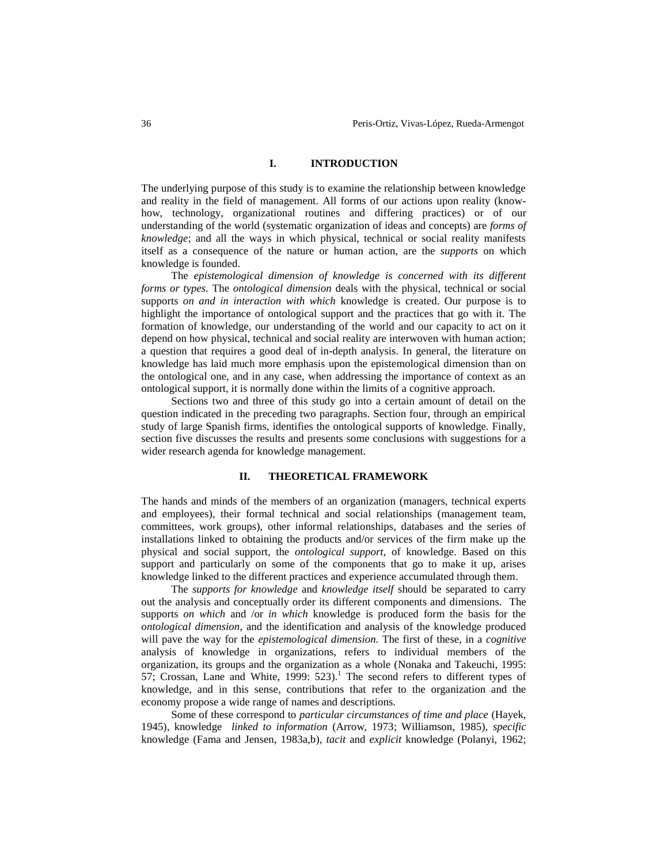### **I. INTRODUCTION**

The underlying purpose of this study is to examine the relationship between knowledge and reality in the field of management. All forms of our actions upon reality (knowhow, technology, organizational routines and differing practices) or of our understanding of the world (systematic organization of ideas and concepts) are *forms of knowledge*; and all the ways in which physical, technical or social reality manifests itself as a consequence of the nature or human action, are the *supports* on which knowledge is founded.

The *epistemological dimension of knowledge is concerned with its different forms or types.* The *ontological dimension* deals with the physical, technical or social supports *on and in interaction with which* knowledge is created. Our purpose is to highlight the importance of ontological support and the practices that go with it. The formation of knowledge, our understanding of the world and our capacity to act on it depend on how physical, technical and social reality are interwoven with human action; a question that requires a good deal of in-depth analysis. In general, the literature on knowledge has laid much more emphasis upon the epistemological dimension than on the ontological one, and in any case, when addressing the importance of context as an ontological support, it is normally done within the limits of a cognitive approach.

Sections two and three of this study go into a certain amount of detail on the question indicated in the preceding two paragraphs. Section four, through an empirical study of large Spanish firms, identifies the ontological supports of knowledge. Finally, section five discusses the results and presents some conclusions with suggestions for a wider research agenda for knowledge management.

#### **II. THEORETICAL FRAMEWORK**

The hands and minds of the members of an organization (managers, technical experts and employees), their formal technical and social relationships (management team, committees, work groups), other informal relationships, databases and the series of installations linked to obtaining the products and/or services of the firm make up the physical and social support, the *ontological support,* of knowledge. Based on this support and particularly on some of the components that go to make it up, arises knowledge linked to the different practices and experience accumulated through them.

The *supports for knowledge* and *knowledge itself* should be separated to carry out the analysis and conceptually order its different components and dimensions. The supports *on which* and /or *in which* knowledge is produced form the basis for the *ontological dimension*, and the identification and analysis of the knowledge produced will pave the way for the *epistemological dimension.* The first of these, in a *cognitive*  analysis of knowledge in organizations, refers to individual members of the organization, its groups and the organization as a whole (Nonaka and Takeuchi, 1995: 57; Crossan, Lane and White, 1999:  $523$ ).<sup>1</sup> The second refers to different types of knowledge, and in this sense, contributions that refer to the organization and the economy propose a wide range of names and descriptions.

Some of these correspond to *particular circumstances of time and place* (Hayek, 1945), knowledge *linked to information* (Arrow, 1973; Williamson, 1985), *specific*  knowledge (Fama and Jensen, 1983a,b), *tacit* and *explicit* knowledge (Polanyi, 1962;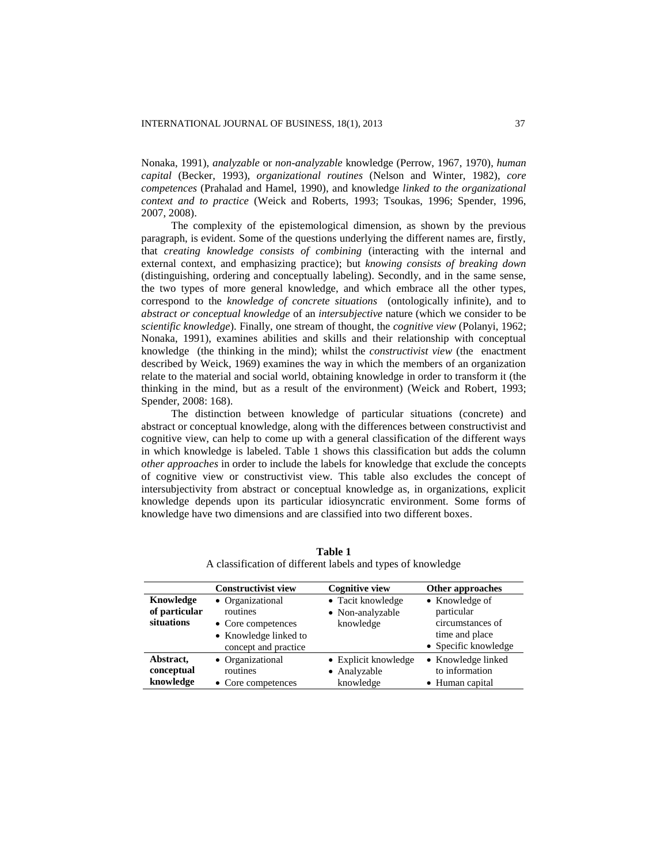Nonaka, 1991), *analyzable* or *non-analyzable* knowledge (Perrow, 1967, 1970), *human capital* (Becker, 1993), *organizational routines* (Nelson and Winter, 1982), *core competences* (Prahalad and Hamel, 1990), and knowledge *linked to the organizational context and to practice* (Weick and Roberts, 1993; Tsoukas, 1996; Spender, 1996, 2007, 2008).

The complexity of the epistemological dimension, as shown by the previous paragraph, is evident. Some of the questions underlying the different names are, firstly, that *creating knowledge consists of combining* (interacting with the internal and external context, and emphasizing practice); but *knowing consists of breaking down*  (distinguishing, ordering and conceptually labeling). Secondly, and in the same sense, the two types of more general knowledge, and which embrace all the other types, correspond to the *knowledge of concrete situations* (ontologically infinite), and to *abstract or conceptual knowledge* of an *intersubjective* nature (which we consider to be *scientific knowledge*). Finally, one stream of thought, the *cognitive view* (Polanyi, 1962; Nonaka, 1991), examines abilities and skills and their relationship with conceptual knowledge (the thinking in the mind); whilst the *constructivist view* (the enactment described by Weick, 1969) examines the way in which the members of an organization relate to the material and social world, obtaining knowledge in order to transform it (the thinking in the mind, but as a result of the environment) (Weick and Robert, 1993; Spender, 2008: 168).

The distinction between knowledge of particular situations (concrete) and abstract or conceptual knowledge, along with the differences between constructivist and cognitive view, can help to come up with a general classification of the different ways in which knowledge is labeled. Table 1 shows this classification but adds the column *other approaches* in order to include the labels for knowledge that exclude the concepts of cognitive view or constructivist view. This table also excludes the concept of intersubjectivity from abstract or conceptual knowledge as, in organizations, explicit knowledge depends upon its particular idiosyncratic environment. Some forms of knowledge have two dimensions and are classified into two different boxes.

|                                          | <b>Constructivist view</b>                                                                          | <b>Cognitive view</b>                              | Other approaches                                                                           |
|------------------------------------------|-----------------------------------------------------------------------------------------------------|----------------------------------------------------|--------------------------------------------------------------------------------------------|
| Knowledge<br>of particular<br>situations | • Organizational<br>routines<br>• Core competences<br>• Knowledge linked to<br>concept and practice | • Tacit knowledge<br>• Non-analyzable<br>knowledge | • Knowledge of<br>particular<br>circumstances of<br>time and place<br>• Specific knowledge |
| Abstract,<br>conceptual<br>knowledge     | • Organizational<br>routines<br>• Core competences                                                  | • Explicit knowledge<br>• Analyzable<br>knowledge  | • Knowledge linked<br>to information<br>• Human capital                                    |

**Table 1** A classification of different labels and types of knowledge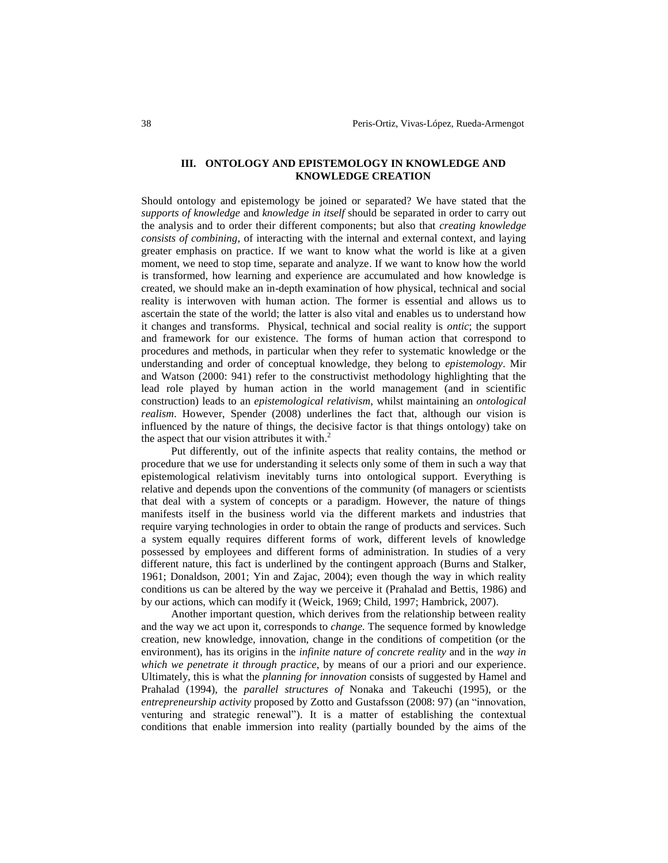### **III. ONTOLOGY AND EPISTEMOLOGY IN KNOWLEDGE AND KNOWLEDGE CREATION**

Should ontology and epistemology be joined or separated? We have stated that the *supports of knowledge* and *knowledge in itself* should be separated in order to carry out the analysis and to order their different components; but also that *creating knowledge consists of combining*, of interacting with the internal and external context, and laying greater emphasis on practice. If we want to know what the world is like at a given moment, we need to stop time, separate and analyze. If we want to know how the world is transformed, how learning and experience are accumulated and how knowledge is created, we should make an in-depth examination of how physical, technical and social reality is interwoven with human action. The former is essential and allows us to ascertain the state of the world; the latter is also vital and enables us to understand how it changes and transforms. Physical, technical and social reality is *ontic*; the support and framework for our existence. The forms of human action that correspond to procedures and methods, in particular when they refer to systematic knowledge or the understanding and order of conceptual knowledge, they belong to *epistemology*. Mir and Watson (2000: 941) refer to the constructivist methodology highlighting that the lead role played by human action in the world management (and in scientific construction) leads to an *epistemological relativism*, whilst maintaining an *ontological realism*. However, Spender (2008) underlines the fact that, although our vision is influenced by the nature of things, the decisive factor is that things ontology) take on the aspect that our vision attributes it with.<sup>2</sup>

Put differently, out of the infinite aspects that reality contains, the method or procedure that we use for understanding it selects only some of them in such a way that epistemological relativism inevitably turns into ontological support. Everything is relative and depends upon the conventions of the community (of managers or scientists that deal with a system of concepts or a paradigm. However, the nature of things manifests itself in the business world via the different markets and industries that require varying technologies in order to obtain the range of products and services. Such a system equally requires different forms of work, different levels of knowledge possessed by employees and different forms of administration. In studies of a very different nature, this fact is underlined by the contingent approach (Burns and Stalker, 1961; Donaldson, 2001; Yin and Zajac, 2004); even though the way in which reality conditions us can be altered by the way we perceive it (Prahalad and Bettis, 1986) and by our actions, which can modify it (Weick, 1969; Child, 1997; Hambrick, 2007).

Another important question, which derives from the relationship between reality and the way we act upon it, corresponds to *change.* The sequence formed by knowledge creation, new knowledge, innovation, change in the conditions of competition (or the environment), has its origins in the *infinite nature of concrete reality* and in the *way in which we penetrate it through practice*, by means of our a priori and our experience. Ultimately, this is what the *planning for innovation* consists of suggested by Hamel and Prahalad (1994), the *parallel structures of* Nonaka and Takeuchi (1995), or the *entrepreneurship activity* proposed by Zotto and Gustafsson (2008: 97) (an "innovation, venturing and strategic renewal"). It is a matter of establishing the contextual conditions that enable immersion into reality (partially bounded by the aims of the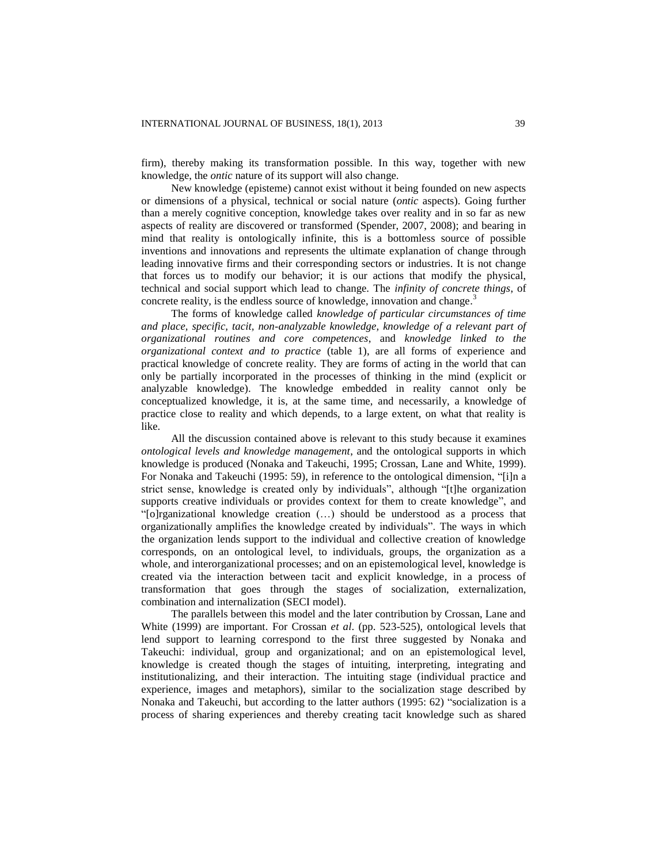firm), thereby making its transformation possible. In this way, together with new knowledge, the *ontic* nature of its support will also change.

New knowledge (episteme) cannot exist without it being founded on new aspects or dimensions of a physical, technical or social nature (*ontic* aspects). Going further than a merely cognitive conception, knowledge takes over reality and in so far as new aspects of reality are discovered or transformed (Spender, 2007, 2008); and bearing in mind that reality is ontologically infinite, this is a bottomless source of possible inventions and innovations and represents the ultimate explanation of change through leading innovative firms and their corresponding sectors or industries. It is not change that forces us to modify our behavior; it is our actions that modify the physical, technical and social support which lead to change. The *infinity of concrete things*, of concrete reality, is the endless source of knowledge, innovation and change.<sup>3</sup>

The forms of knowledge called *knowledge of particular circumstances of time and place, specific, tacit, non-analyzable knowledge, knowledge of a relevant part of organizational routines and core competences*, and *knowledge linked to the organizational context and to practice* (table 1), are all forms of experience and practical knowledge of concrete reality. They are forms of acting in the world that can only be partially incorporated in the processes of thinking in the mind (explicit or analyzable knowledge). The knowledge embedded in reality cannot only be conceptualized knowledge, it is, at the same time, and necessarily, a knowledge of practice close to reality and which depends, to a large extent, on what that reality is like.

All the discussion contained above is relevant to this study because it examines *ontological levels and knowledge management*, and the ontological supports in which knowledge is produced (Nonaka and Takeuchi, 1995; Crossan, Lane and White, 1999). For Nonaka and Takeuchi (1995: 59), in reference to the ontological dimension, "[i]n a strict sense, knowledge is created only by individuals", although "[t]he organization supports creative individuals or provides context for them to create knowledge", and "[o]rganizational knowledge creation (…) should be understood as a process that organizationally amplifies the knowledge created by individuals". The ways in which the organization lends support to the individual and collective creation of knowledge corresponds, on an ontological level, to individuals, groups, the organization as a whole, and interorganizational processes; and on an epistemological level, knowledge is created via the interaction between tacit and explicit knowledge, in a process of transformation that goes through the stages of socialization, externalization, combination and internalization (SECI model).

The parallels between this model and the later contribution by Crossan, Lane and White (1999) are important. For Crossan *et al*. (pp. 523-525), ontological levels that lend support to learning correspond to the first three suggested by Nonaka and Takeuchi: individual, group and organizational; and on an epistemological level, knowledge is created though the stages of intuiting, interpreting, integrating and institutionalizing, and their interaction. The intuiting stage (individual practice and experience, images and metaphors), similar to the socialization stage described by Nonaka and Takeuchi, but according to the latter authors (1995: 62) "socialization is a process of sharing experiences and thereby creating tacit knowledge such as shared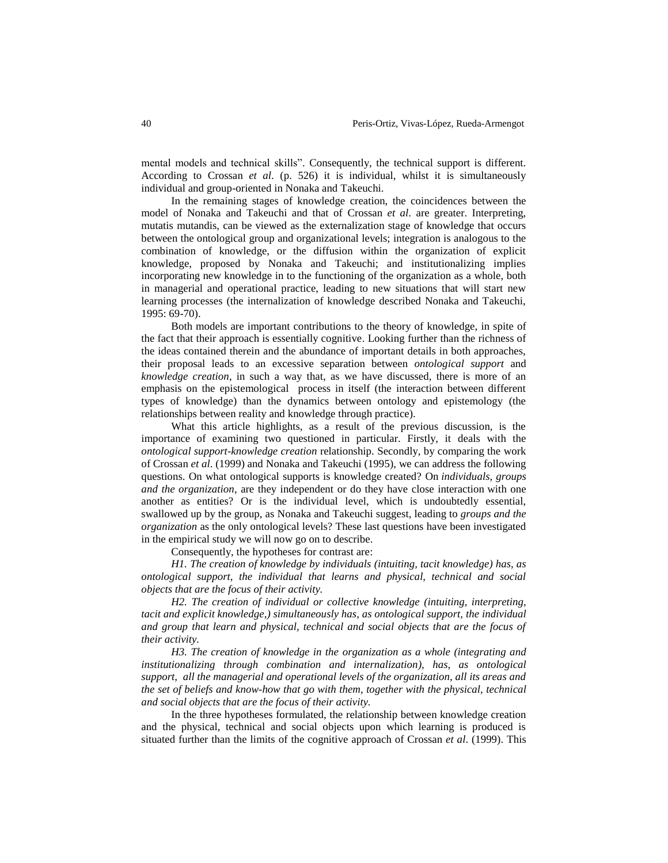mental models and technical skills". Consequently, the technical support is different. According to Crossan *et al*. (p. 526) it is individual, whilst it is simultaneously individual and group-oriented in Nonaka and Takeuchi.

In the remaining stages of knowledge creation, the coincidences between the model of Nonaka and Takeuchi and that of Crossan *et al*. are greater. Interpreting, mutatis mutandis, can be viewed as the externalization stage of knowledge that occurs between the ontological group and organizational levels; integration is analogous to the combination of knowledge, or the diffusion within the organization of explicit knowledge, proposed by Nonaka and Takeuchi; and institutionalizing implies incorporating new knowledge in to the functioning of the organization as a whole, both in managerial and operational practice, leading to new situations that will start new learning processes (the internalization of knowledge described Nonaka and Takeuchi, 1995: 69-70).

Both models are important contributions to the theory of knowledge, in spite of the fact that their approach is essentially cognitive. Looking further than the richness of the ideas contained therein and the abundance of important details in both approaches, their proposal leads to an excessive separation between *ontological support* and *knowledge creation*, in such a way that, as we have discussed, there is more of an emphasis on the epistemological process in itself (the interaction between different types of knowledge) than the dynamics between ontology and epistemology (the relationships between reality and knowledge through practice).

What this article highlights, as a result of the previous discussion, is the importance of examining two questioned in particular. Firstly, it deals with the *ontological support-knowledge creation* relationship. Secondly, by comparing the work of Crossan *et al*. (1999) and Nonaka and Takeuchi (1995), we can address the following questions. On what ontological supports is knowledge created? On *individuals, groups and the organization*, are they independent or do they have close interaction with one another as entities? Or is the individual level, which is undoubtedly essential, swallowed up by the group, as Nonaka and Takeuchi suggest, leading to *groups and the organization* as the only ontological levels? These last questions have been investigated in the empirical study we will now go on to describe.

Consequently, the hypotheses for contrast are:

*H1. The creation of knowledge by individuals (intuiting, tacit knowledge) has, as ontological support, the individual that learns and physical, technical and social objects that are the focus of their activity.* 

*H2. The creation of individual or collective knowledge (intuiting, interpreting, tacit and explicit knowledge*,*) simultaneously has, as ontological support, the individual and group that learn and physical, technical and social objects that are the focus of their activity.* 

*H3. The creation of knowledge in the organization as a whole (integrating and institutionalizing through combination and internalization), has, as ontological support, all the managerial and operational levels of the organization, all its areas and the set of beliefs and know-how that go with them*, *together with the physical, technical and social objects that are the focus of their activity.* 

In the three hypotheses formulated, the relationship between knowledge creation and the physical, technical and social objects upon which learning is produced is situated further than the limits of the cognitive approach of Crossan *et al*. (1999). This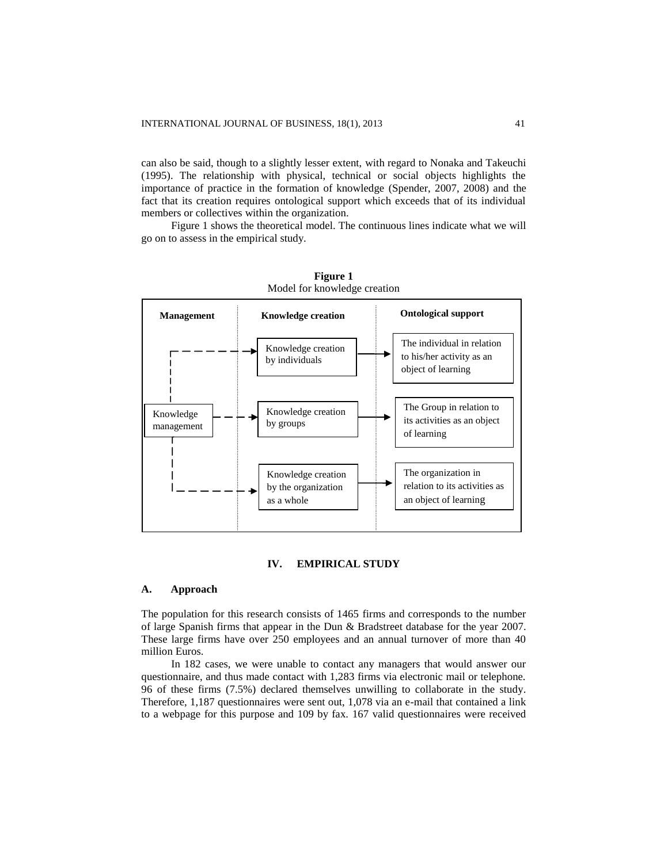can also be said, though to a slightly lesser extent, with regard to Nonaka and Takeuchi (1995). The relationship with physical, technical or social objects highlights the importance of practice in the formation of knowledge (Spender, 2007, 2008) and the fact that its creation requires ontological support which exceeds that of its individual members or collectives within the organization.

Figure 1 shows the theoretical model. The continuous lines indicate what we will go on to assess in the empirical study.



**Figure 1** Model for knowledge creation

# **IV. EMPIRICAL STUDY**

#### **A. Approach**

The population for this research consists of 1465 firms and corresponds to the number of large Spanish firms that appear in the Dun & Bradstreet database for the year 2007. These large firms have over 250 employees and an annual turnover of more than 40 million Euros.

In 182 cases, we were unable to contact any managers that would answer our questionnaire, and thus made contact with 1,283 firms via electronic mail or telephone. 96 of these firms (7.5%) declared themselves unwilling to collaborate in the study. Therefore, 1,187 questionnaires were sent out, 1,078 via an e-mail that contained a link to a webpage for this purpose and 109 by fax. 167 valid questionnaires were received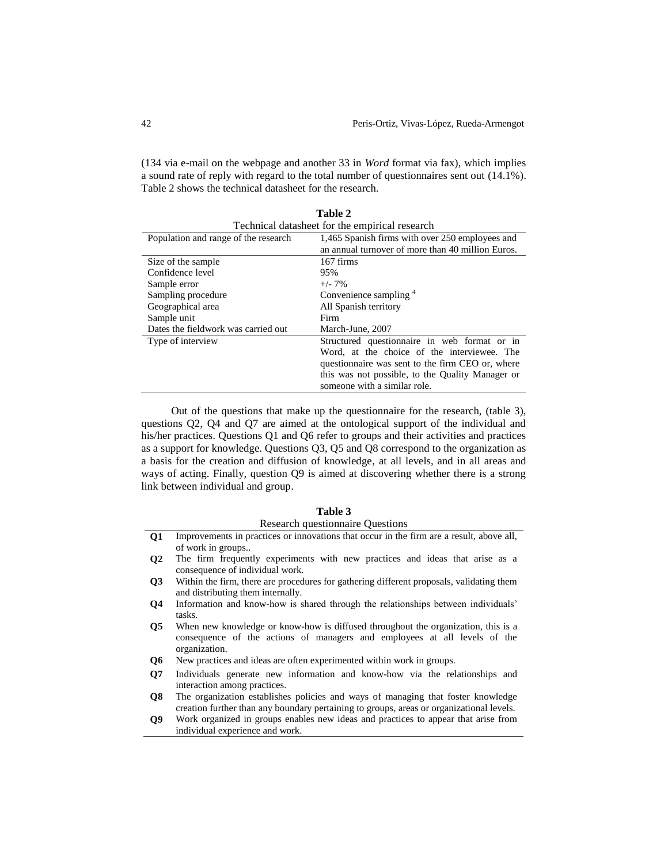(134 via e-mail on the webpage and another 33 in *Word* format via fax), which implies a sound rate of reply with regard to the total number of questionnaires sent out (14.1%). Table 2 shows the technical datasheet for the research.

**Table 2**

| 1 400 L                                        |                                                   |  |  |  |  |
|------------------------------------------------|---------------------------------------------------|--|--|--|--|
| Technical datasheet for the empirical research |                                                   |  |  |  |  |
| Population and range of the research           | 1,465 Spanish firms with over 250 employees and   |  |  |  |  |
|                                                | an annual turnover of more than 40 million Euros. |  |  |  |  |
| Size of the sample                             | 167 firms                                         |  |  |  |  |
| Confidence level                               | 95%                                               |  |  |  |  |
| Sample error                                   | $+/- 7\%$                                         |  |  |  |  |
| Sampling procedure                             | Convenience sampling 4                            |  |  |  |  |
| Geographical area                              | All Spanish territory                             |  |  |  |  |
| Sample unit                                    | Firm                                              |  |  |  |  |
| Dates the fieldwork was carried out            | March-June, 2007                                  |  |  |  |  |
| Type of interview                              | Structured questionnaire in web format or in      |  |  |  |  |
|                                                | Word, at the choice of the interviewee. The       |  |  |  |  |
|                                                | questionnaire was sent to the firm CEO or, where  |  |  |  |  |
|                                                | this was not possible, to the Quality Manager or  |  |  |  |  |
|                                                | someone with a similar role.                      |  |  |  |  |

Out of the questions that make up the questionnaire for the research, (table 3), questions Q2, Q4 and Q7 are aimed at the ontological support of the individual and his/her practices. Questions Q1 and Q6 refer to groups and their activities and practices as a support for knowledge. Questions Q3, Q5 and Q8 correspond to the organization as a basis for the creation and diffusion of knowledge, at all levels, and in all areas and ways of acting. Finally, question Q9 is aimed at discovering whether there is a strong link between individual and group.

| 'able |
|-------|
|-------|

| <b>Research questionnaire Ouestions</b> |                                                                                                                                                                                 |  |  |  |
|-----------------------------------------|---------------------------------------------------------------------------------------------------------------------------------------------------------------------------------|--|--|--|
| Q1                                      | Improvements in practices or innovations that occur in the firm are a result, above all,                                                                                        |  |  |  |
|                                         | of work in groups                                                                                                                                                               |  |  |  |
| $\overline{Q2}$                         | The firm frequently experiments with new practices and ideas that arise as a<br>consequence of individual work.                                                                 |  |  |  |
| Q3                                      | Within the firm, there are procedures for gathering different proposals, validating them<br>and distributing them internally.                                                   |  |  |  |
| Q4                                      | Information and know-how is shared through the relationships between individuals'<br>tasks.                                                                                     |  |  |  |
| <b>O5</b>                               | When new knowledge or know-how is diffused throughout the organization, this is a<br>consequence of the actions of managers and employees at all levels of the<br>organization. |  |  |  |
| Q6                                      | New practices and ideas are often experimented within work in groups.                                                                                                           |  |  |  |
| Q7                                      | Individuals generate new information and know-how via the relationships and<br>interaction among practices.                                                                     |  |  |  |
| Q8                                      | The organization establishes policies and ways of managing that foster knowledge<br>creation further than any boundary pertaining to groups, areas or organizational levels.    |  |  |  |
| <b>O</b> <sup>9</sup>                   | Work organized in groups enables new ideas and practices to appear that arise from<br>individual experience and work.                                                           |  |  |  |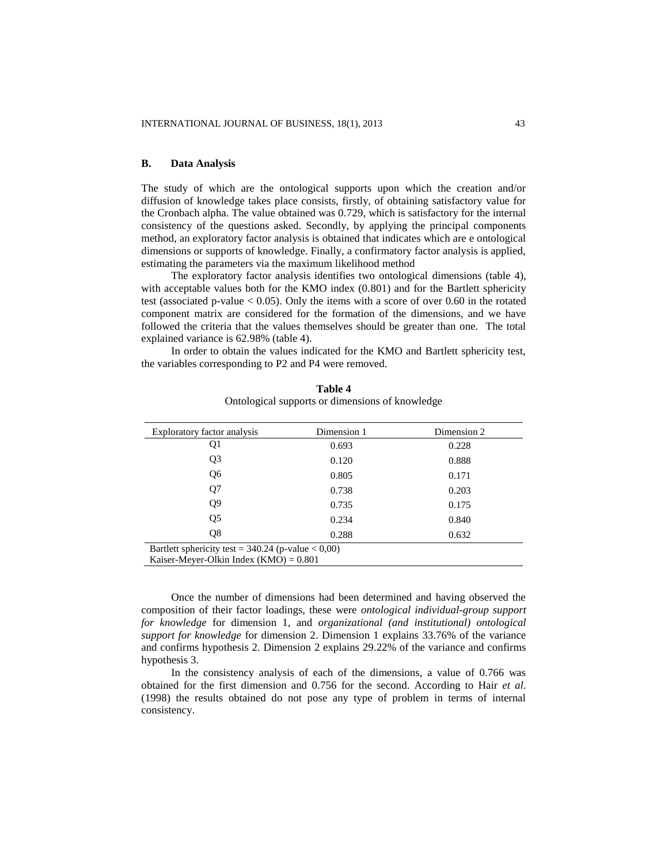# **B. Data Analysis**

The study of which are the ontological supports upon which the creation and/or diffusion of knowledge takes place consists, firstly, of obtaining satisfactory value for the Cronbach alpha. The value obtained was 0.729, which is satisfactory for the internal consistency of the questions asked. Secondly, by applying the principal components method, an exploratory factor analysis is obtained that indicates which are e ontological dimensions or supports of knowledge. Finally, a confirmatory factor analysis is applied, estimating the parameters via the maximum likelihood method

The exploratory factor analysis identifies two ontological dimensions (table 4), with acceptable values both for the KMO index (0.801) and for the Bartlett sphericity test (associated p-value < 0.05). Only the items with a score of over 0.60 in the rotated component matrix are considered for the formation of the dimensions, and we have followed the criteria that the values themselves should be greater than one. The total explained variance is 62.98% (table 4).

In order to obtain the values indicated for the KMO and Bartlett sphericity test, the variables corresponding to P2 and P4 were removed.

| Exploratory factor analysis                          | Dimension 1 | Dimension 2 |  |  |  |
|------------------------------------------------------|-------------|-------------|--|--|--|
| Q1                                                   | 0.693       | 0.228       |  |  |  |
| Q <sub>3</sub>                                       | 0.120       | 0.888       |  |  |  |
| Q <sub>6</sub>                                       | 0.805       | 0.171       |  |  |  |
| Q7                                                   | 0.738       | 0.203       |  |  |  |
| Q <sub>9</sub>                                       | 0.735       | 0.175       |  |  |  |
| Q <sub>5</sub>                                       | 0.234       | 0.840       |  |  |  |
| Q <sub>8</sub>                                       | 0.288       | 0.632       |  |  |  |
| Bartlett sphericity test = $340.24$ (p-value < 0,00) |             |             |  |  |  |
| Kaiser-Meyer-Olkin Index $(KMO) = 0.801$             |             |             |  |  |  |

**Table 4** Ontological supports or dimensions of knowledge

Once the number of dimensions had been determined and having observed the composition of their factor loadings, these were *ontological individual-group support for knowledge* for dimension 1, and *organizational (and institutional) ontological support for knowledge* for dimension 2. Dimension 1 explains 33.76% of the variance and confirms hypothesis 2. Dimension 2 explains 29.22% of the variance and confirms hypothesis 3.

In the consistency analysis of each of the dimensions, a value of 0.766 was obtained for the first dimension and 0.756 for the second. According to Hair *et al*. (1998) the results obtained do not pose any type of problem in terms of internal consistency.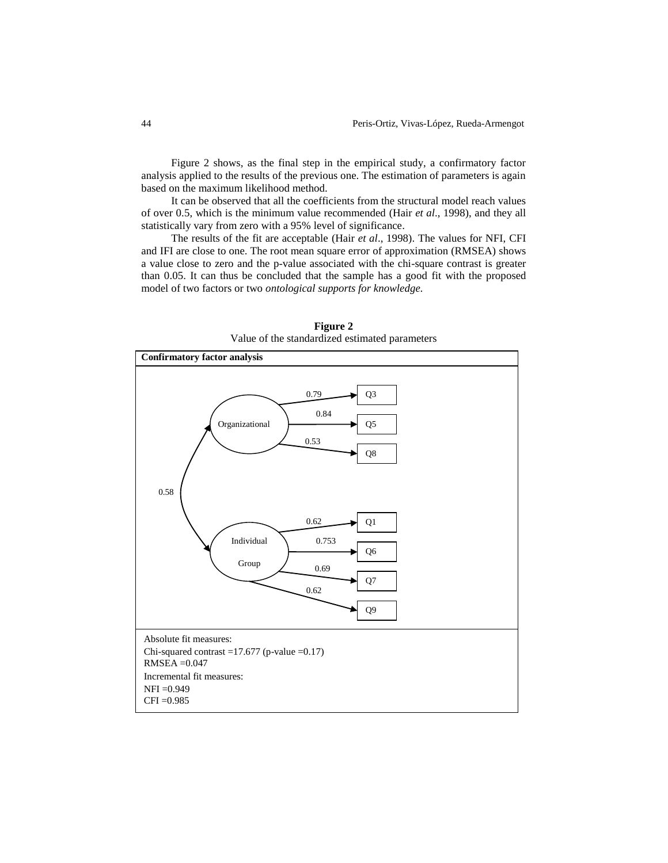Figure 2 shows, as the final step in the empirical study, a confirmatory factor analysis applied to the results of the previous one. The estimation of parameters is again based on the maximum likelihood method.

It can be observed that all the coefficients from the structural model reach values of over 0.5, which is the minimum value recommended (Hair *et al*., 1998), and they all statistically vary from zero with a 95% level of significance.

The results of the fit are acceptable (Hair *et al*., 1998). The values for NFI, CFI and IFI are close to one. The root mean square error of approximation (RMSEA) shows a value close to zero and the p-value associated with the chi-square contrast is greater than 0.05. It can thus be concluded that the sample has a good fit with the proposed model of two factors or two *ontological supports for knowledge.* 



**Figure 2** Value of the standardized estimated parameters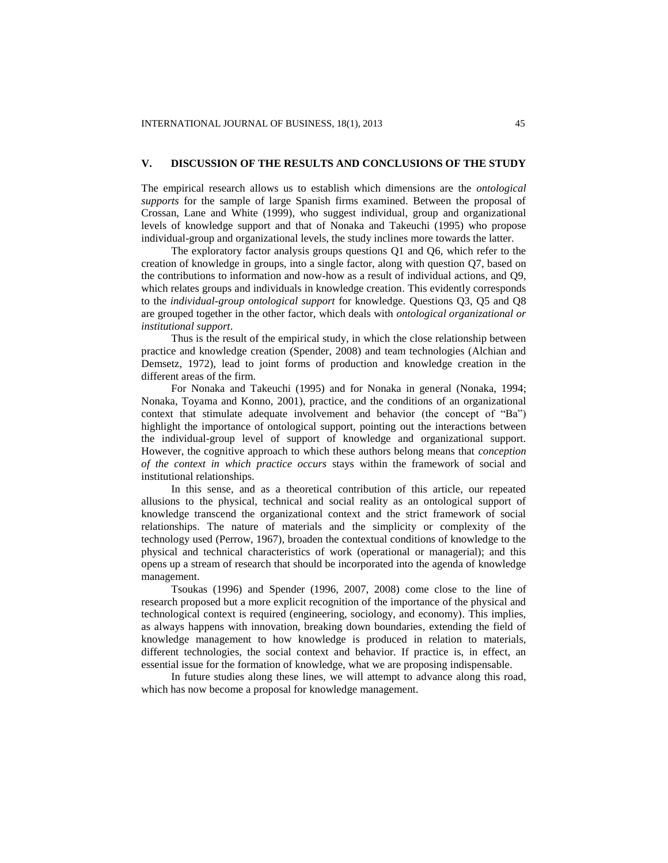## **V. DISCUSSION OF THE RESULTS AND CONCLUSIONS OF THE STUDY**

The empirical research allows us to establish which dimensions are the *ontological supports* for the sample of large Spanish firms examined. Between the proposal of Crossan, Lane and White (1999), who suggest individual, group and organizational levels of knowledge support and that of Nonaka and Takeuchi (1995) who propose individual-group and organizational levels, the study inclines more towards the latter.

The exploratory factor analysis groups questions Q1 and Q6, which refer to the creation of knowledge in groups, into a single factor, along with question Q7, based on the contributions to information and now-how as a result of individual actions, and Q9, which relates groups and individuals in knowledge creation. This evidently corresponds to the *individual-group ontological support* for knowledge. Questions Q3, Q5 and Q8 are grouped together in the other factor, which deals with *ontological organizational or institutional support*.

Thus is the result of the empirical study, in which the close relationship between practice and knowledge creation (Spender, 2008) and team technologies (Alchian and Demsetz, 1972), lead to joint forms of production and knowledge creation in the different areas of the firm.

For Nonaka and Takeuchi (1995) and for Nonaka in general (Nonaka, 1994; Nonaka, Toyama and Konno, 2001), practice, and the conditions of an organizational context that stimulate adequate involvement and behavior (the concept of "Ba") highlight the importance of ontological support, pointing out the interactions between the individual-group level of support of knowledge and organizational support. However, the cognitive approach to which these authors belong means that *conception of the context in which practice occurs* stays within the framework of social and institutional relationships.

In this sense, and as a theoretical contribution of this article, our repeated allusions to the physical, technical and social reality as an ontological support of knowledge transcend the organizational context and the strict framework of social relationships. The nature of materials and the simplicity or complexity of the technology used (Perrow, 1967), broaden the contextual conditions of knowledge to the physical and technical characteristics of work (operational or managerial); and this opens up a stream of research that should be incorporated into the agenda of knowledge management.

Tsoukas (1996) and Spender (1996, 2007, 2008) come close to the line of research proposed but a more explicit recognition of the importance of the physical and technological context is required (engineering, sociology, and economy). This implies, as always happens with innovation, breaking down boundaries, extending the field of knowledge management to how knowledge is produced in relation to materials, different technologies, the social context and behavior. If practice is, in effect, an essential issue for the formation of knowledge, what we are proposing indispensable.

In future studies along these lines, we will attempt to advance along this road, which has now become a proposal for knowledge management.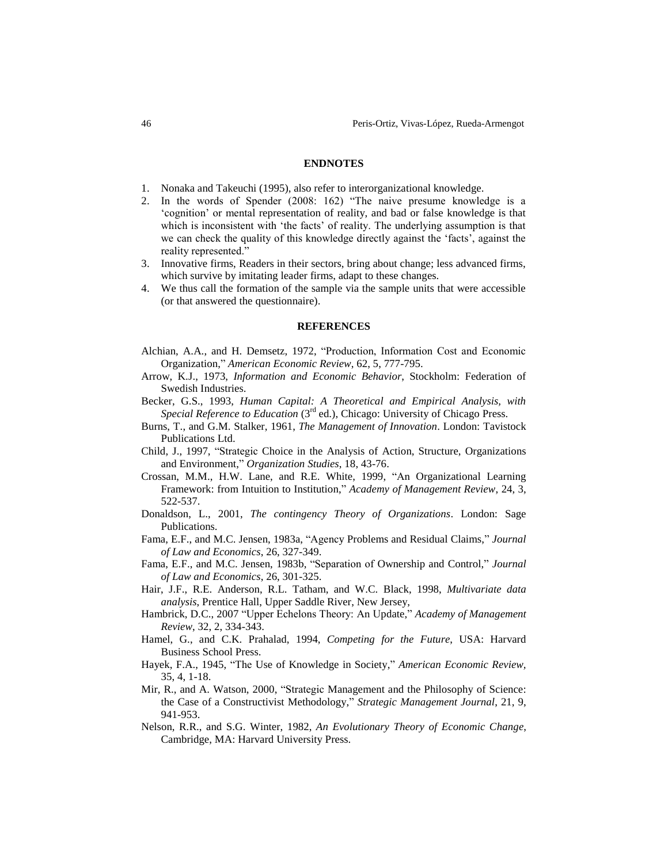#### **ENDNOTES**

- 1. Nonaka and Takeuchi (1995), also refer to interorganizational knowledge.
- 2. In the words of Spender (2008: 162) "The naive presume knowledge is a 'cognition' or mental representation of reality, and bad or false knowledge is that which is inconsistent with 'the facts' of reality. The underlying assumption is that we can check the quality of this knowledge directly against the 'facts', against the reality represented."
- 3. Innovative firms, Readers in their sectors, bring about change; less advanced firms, which survive by imitating leader firms, adapt to these changes.
- 4. We thus call the formation of the sample via the sample units that were accessible (or that answered the questionnaire).

#### **REFERENCES**

- Alchian, A.A., and H. Demsetz, 1972, "Production, Information Cost and Economic Organization," *American Economic Review*, 62, 5, 777-795.
- Arrow, K.J., 1973, *Information and Economic Behavior*, Stockholm: Federation of Swedish Industries.
- Becker, G.S., 1993, *Human Capital: A Theoretical and Empirical Analysis, with*  Special Reference to Education (3<sup>rd</sup> ed.), Chicago: University of Chicago Press.
- Burns, T., and G.M. Stalker, 1961, *The Management of Innovation*. London: Tavistock Publications Ltd.
- Child, J., 1997, "Strategic Choice in the Analysis of Action, Structure, Organizations and Environment," *Organization Studies*, 18, 43-76.
- Crossan, M.M., H.W. Lane, and R.E. White, 1999, "An Organizational Learning Framework: from Intuition to Institution," *Academy of Management Review*, 24, 3, 522-537.
- Donaldson, L., 2001, *The contingency Theory of Organizations*. London: Sage Publications.
- Fama, E.F., and M.C. Jensen, 1983a, "Agency Problems and Residual Claims," *Journal of Law and Economics*, 26, 327-349.
- Fama, E.F., and M.C. Jensen, 1983b, "Separation of Ownership and Control," *Journal of Law and Economics*, 26, 301-325.
- Hair, J.F., R.E. Anderson, R.L. Tatham, and W.C. Black, 1998, *Multivariate data analysis*, Prentice Hall, Upper Saddle River, New Jersey,
- Hambrick, D.C., 2007 "Upper Echelons Theory: An Update," *Academy of Management Review*, 32, 2, 334-343.
- Hamel, G., and C.K. Prahalad, 1994, *Competing for the Future*, USA: Harvard Business School Press.
- Hayek, F.A., 1945, "The Use of Knowledge in Society," *American Economic Review,*  35, 4, 1-18.
- Mir, R., and A. Watson, 2000, "Strategic Management and the Philosophy of Science: the Case of a Constructivist Methodology," *Strategic Management Journal*, 21, 9, 941-953.
- Nelson, R.R., and S.G. Winter, 1982, *An Evolutionary Theory of Economic Change*, Cambridge, MA: Harvard University Press.